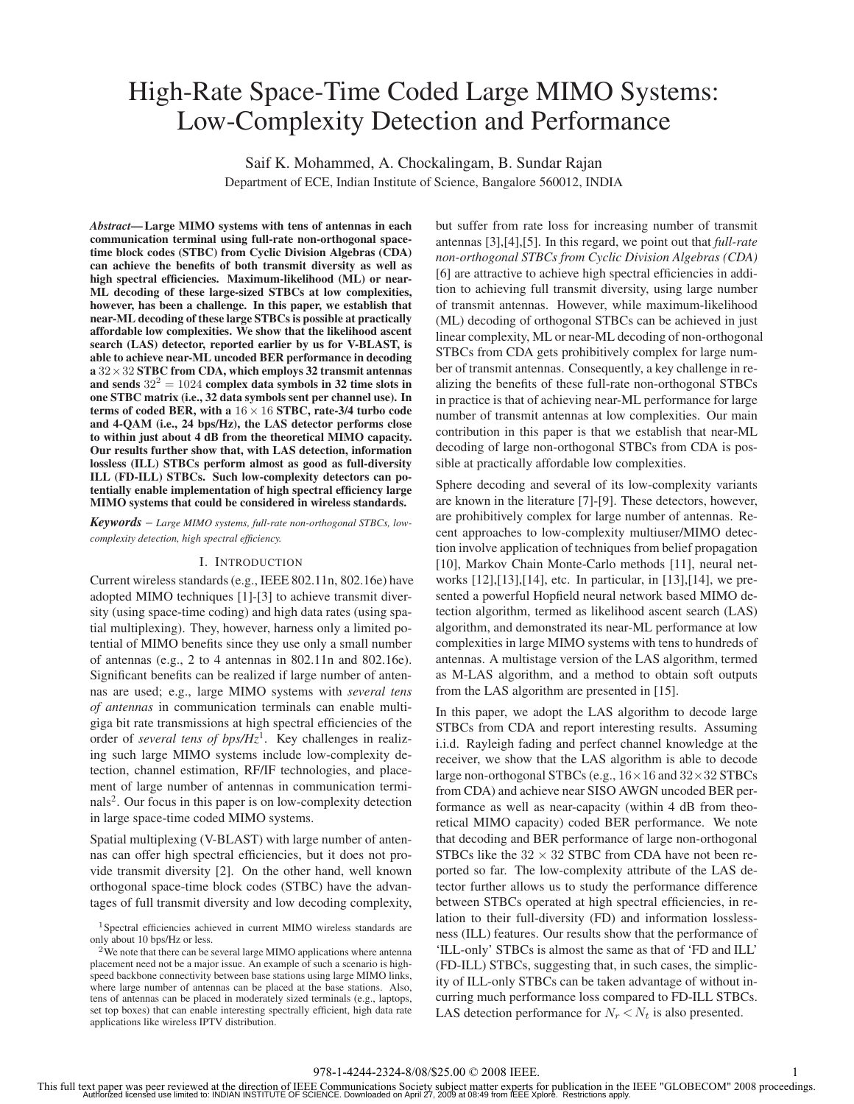# High-Rate Space-Time Coded Large MIMO Systems: Low-Complexity Detection and Performance

Saif K. Mohammed, A. Chockalingam, B. Sundar Rajan Department of ECE, Indian Institute of Science, Bangalore 560012, INDIA

*Abstract***— Large MIMO systems with tens of antennas in each communication terminal using full-rate non-orthogonal spacetime block codes (STBC) from Cyclic Division Algebras (CDA) can achieve the benefits of both transmit diversity as well as high spectral efficiencies. Maximum-likelihood (ML) or near-ML decoding of these large-sized STBCs at low complexities, however, has been a challenge. In this paper, we establish that near-ML decoding of these large STBCs is possible at practically affordable low complexities. We show that the likelihood ascent search (LAS) detector, reported earlier by us for V-BLAST, is able to achieve near-ML uncoded BER performance in decoding <sup>a</sup>** 32×32 **STBC from CDA, which employs 32 transmit antennas** and sends  $32^2 = 1024$  complex data symbols in 32 time slots in **one STBC matrix (i.e., 32 data symbols sent per channel use). In terms of coded BER, with a** 16 <sup>×</sup> 16 **STBC, rate-3/4 turbo code and 4-QAM (i.e., 24 bps/Hz), the LAS detector performs close to within just about 4 dB from the theoretical MIMO capacity. Our results further show that, with LAS detection, information lossless (ILL) STBCs perform almost as good as full-diversity ILL (FD-ILL) STBCs. Such low-complexity detectors can potentially enable implementation of high spectral efficiency large MIMO systems that could be considered in wireless standards.**

*Keywords* – *Large MIMO systems, full-rate non-orthogonal STBCs, lowcomplexity detection, high spectral efficiency.*

## I. INTRODUCTION

Current wireless standards (e.g., IEEE 802.11n, 802.16e) have adopted MIMO techniques [1]-[3] to achieve transmit diversity (using space-time coding) and high data rates (using spatial multiplexing). They, however, harness only a limited potential of MIMO benefits since they use only a small number of antennas (e.g., 2 to 4 antennas in 802.11n and 802.16e). Significant benefits can be realized if large number of antennas are used; e.g., large MIMO systems with *several tens of antennas* in communication terminals can enable multigiga bit rate transmissions at high spectral efficiencies of the order of *several tens of bps/Hz*<sup>1</sup>. Key challenges in realizing such large MIMO systems include low-complexity detection, channel estimation, RF/IF technologies, and placement of large number of antennas in communication terminals<sup>2</sup>. Our focus in this paper is on low-complexity detection in large space-time coded MIMO systems.

Spatial multiplexing (V-BLAST) with large number of antennas can offer high spectral efficiencies, but it does not provide transmit diversity [2]. On the other hand, well known orthogonal space-time block codes (STBC) have the advantages of full transmit diversity and low decoding complexity, but suffer from rate loss for increasing number of transmit antennas [3],[4],[5]. In this regard, we point out that *full-rate non-orthogonal STBCs from Cyclic Division Algebras (CDA)* [6] are attractive to achieve high spectral efficiencies in addition to achieving full transmit diversity, using large number of transmit antennas. However, while maximum-likelihood (ML) decoding of orthogonal STBCs can be achieved in just linear complexity, ML or near-ML decoding of non-orthogonal STBCs from CDA gets prohibitively complex for large number of transmit antennas. Consequently, a key challenge in realizing the benefits of these full-rate non-orthogonal STBCs in practice is that of achieving near-ML performance for large number of transmit antennas at low complexities. Our main contribution in this paper is that we establish that near-ML decoding of large non-orthogonal STBCs from CDA is possible at practically affordable low complexities.

Sphere decoding and several of its low-complexity variants are known in the literature [7]-[9]. These detectors, however, are prohibitively complex for large number of antennas. Recent approaches to low-complexity multiuser/MIMO detection involve application of techniques from belief propagation [10], Markov Chain Monte-Carlo methods [11], neural networks [12],[13],[14], etc. In particular, in [13],[14], we presented a powerful Hopfield neural network based MIMO detection algorithm, termed as likelihood ascent search (LAS) algorithm, and demonstrated its near-ML performance at low complexities in large MIMO systems with tens to hundreds of antennas. A multistage version of the LAS algorithm, termed as M-LAS algorithm, and a method to obtain soft outputs from the LAS algorithm are presented in [15].

In this paper, we adopt the LAS algorithm to decode large STBCs from CDA and report interesting results. Assuming i.i.d. Rayleigh fading and perfect channel knowledge at the receiver, we show that the LAS algorithm is able to decode large non-orthogonal STBCs (e.g.,  $16 \times 16$  and  $32 \times 32$  STBCs from CDA) and achieve near SISO AWGN uncoded BER performance as well as near-capacity (within 4 dB from theoretical MIMO capacity) coded BER performance. We note that decoding and BER performance of large non-orthogonal STBCs like the  $32 \times 32$  STBC from CDA have not been reported so far. The low-complexity attribute of the LAS detector further allows us to study the performance difference between STBCs operated at high spectral efficiencies, in relation to their full-diversity (FD) and information losslessness (ILL) features. Our results show that the performance of 'ILL-only' STBCs is almost the same as that of 'FD and ILL' (FD-ILL) STBCs, suggesting that, in such cases, the simplicity of ILL-only STBCs can be taken advantage of without incurring much performance loss compared to FD-ILL STBCs. LAS detection performance for  $N_r < N_t$  is also presented.

<sup>1</sup>Spectral efficiencies achieved in current MIMO wireless standards are only about 10 bps/Hz or less.

<sup>&</sup>lt;sup>2</sup>We note that there can be several large MIMO applications where antenna placement need not be a major issue. An example of such a scenario is highspeed backbone connectivity between base stations using large MIMO links, where large number of antennas can be placed at the base stations. Also, tens of antennas can be placed in moderately sized terminals (e.g., laptops, set top boxes) that can enable interesting spectrally efficient, high data rate applications like wireless IPTV distribution.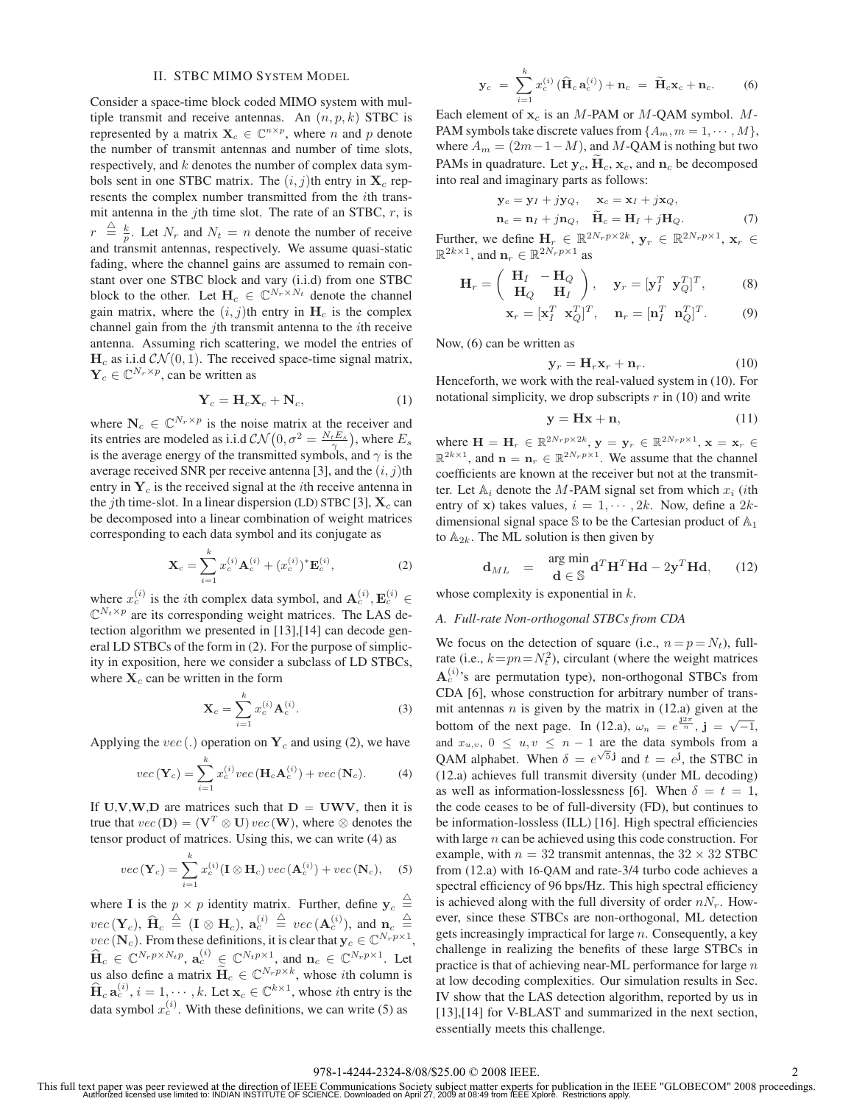## II. STBC MIMO SYSTEM MODEL

Consider a space-time block coded MIMO system with multiple transmit and receive antennas. An (*n, p, k*) STBC is represented by a matrix  $\mathbf{X}_c \in \mathbb{C}^{n \times p}$ , where *n* and *p* denote the number of transmit antennas and number of time slots, respectively, and *k* denotes the number of complex data symbols sent in one STBC matrix. The  $(i, j)$ th entry in  $X_c$  represents the complex number transmitted from the *i*th transmit antenna in the *j*th time slot. The rate of an STBC, *r*, is  $r \stackrel{\triangle}{=} \frac{k}{p}$ . Let  $N_r$  and  $N_t = n$  denote the number of receive and transmit antennas, respectively. We assume quasi-static fading, where the channel gains are assumed to remain constant over one STBC block and vary (i.i.d) from one STBC block to the other. Let  $H_c \in \mathbb{C}^{N_r \times N_t}$  denote the channel gain matrix, where the  $(i, j)$ th entry in  $H_c$  is the complex channel gain from the *j*th transmit antenna to the *i*th receive antenna. Assuming rich scattering, we model the entries of  $H_c$  as i.i.d  $\mathcal{CN}(0, 1)$ . The received space-time signal matrix,  $\mathbf{Y}_c \in \mathbb{C}^{N_r \times p}$ , can be written as

$$
\mathbf{Y}_c = \mathbf{H}_c \mathbf{X}_c + \mathbf{N}_c,\tag{1}
$$

where  $N_c \in \mathbb{C}^{N_r \times p}$  is the noise matrix at the receiver and its entries are modeled as i.i.d  $\mathcal{CN}\left(0, \sigma^2 = \frac{N_t E_s}{\gamma}\right)$ , where  $E_s$ is the average energy of the transmitted symbols, and  $\gamma$  is the average received SNR per receive antenna [3], and the (*i, j*)th entry in  $Y_c$  is the received signal at the *i*th receive antenna in the *j*th time-slot. In a linear dispersion (LD) STBC [3],  $X_c$  can be decomposed into a linear combination of weight matrices corresponding to each data symbol and its conjugate as

$$
\mathbf{X}_c = \sum_{i=1}^k x_c^{(i)} \mathbf{A}_c^{(i)} + (x_c^{(i)})^* \mathbf{E}_c^{(i)},
$$
(2)

where  $x_c^{(i)}$  is the *i*th complex data symbol, and  $\mathbf{A}_c^{(i)}$ ,  $\mathbf{E}_c^{(i)}$   $\in$  $\mathbb{C}^{N_t \times p}$  are its corresponding weight matrices. The LAS detection algorithm we presented in [13],[14] can decode general LD STBCs of the form in (2). For the purpose of simplicity in exposition, here we consider a subclass of LD STBCs, where  $X_c$  can be written in the form

$$
\mathbf{X}_c = \sum_{i=1}^k x_c^{(i)} \mathbf{A}_c^{(i)}.
$$
 (3)

Applying the  $vec(.)$  operation on  $Y_c$  and using (2), we have

$$
vec(\mathbf{Y}_c) = \sum_{i=1}^{k} x_c^{(i)} vec(\mathbf{H}_c \mathbf{A}_c^{(i)}) + vec(\mathbf{N}_c).
$$
 (4)

If **U**, **V**, **W**, **D** are matrices such that  $D = U W V$ , then it is true that  $vec(D) = (\mathbf{V}^T \otimes \mathbf{U}) vec(\mathbf{W})$ , where  $\otimes$  denotes the tensor product of matrices. Using this, we can write (4) as

$$
vec(\mathbf{Y}_c) = \sum_{i=1}^k x_c^{(i)}(\mathbf{I} \otimes \mathbf{H}_c) vec(\mathbf{A}_c^{(i)}) + vec(\mathbf{N}_c),
$$
 (5)

where **I** is the  $p \times p$  identity matrix. Further, define  $y_c \stackrel{\triangle}{=}$  $vec(\mathbf{Y}_c)$ ,  $\hat{\mathbf{H}}_c \stackrel{\triangle}{=} (\mathbf{I} \otimes \mathbf{H}_c)$ ,  $\mathbf{a}_c^{(i)} \stackrel{\triangle}{=} vec(\mathbf{A}_c^{(i)})$ , and  $\mathbf{n}_c \stackrel{\triangle}{=}$  $vec(\mathbf{N}_c)$ . From these definitions, it is clear that  $\mathbf{y}_c \in \mathbb{C}^{N_r p \times 1}$ ,  $\widehat{\mathbf{H}}_c \in \mathbb{C}^{N_r p \times N_t p}, \, \mathbf{a}_c^{(i)} \in \mathbb{C}^{N_t p \times 1}, \text{ and } \mathbf{n}_c \in \mathbb{C}^{N_r p \times 1}.$  Let us also define a matrix  $\widetilde{H}_c \in \mathbb{C}^{N_r p \times k}$ , whose *i*th column is  $\hat{\mathbf{H}}_c \mathbf{a}_c^{(i)}$ ,  $i = 1, \dots, k$ . Let  $\mathbf{x}_c \in \mathbb{C}^{k \times 1}$ , whose *i*th entry is the data symbol  $x_c^{(i)}$ . With these definitions, we can write (5) as

$$
\mathbf{y}_c = \sum_{i=1}^k x_c^{(i)} \left( \widehat{\mathbf{H}}_c \, \mathbf{a}_c^{(i)} \right) + \mathbf{n}_c = \widetilde{\mathbf{H}}_c \mathbf{x}_c + \mathbf{n}_c. \tag{6}
$$

Each element of  $x_c$  is an *M*-PAM or *M*-QAM symbol. *M*-PAM symbols take discrete values from  $\{A_m, m = 1, \dots, M\}$ , where  $A_m = (2m-1-M)$ , and M-QAM is nothing but two PAMs in quadrature. Let  $y_c$ ,  $H_c$ ,  $x_c$ , and  $n_c$  be decomposed into real and imaginary parts as follows:

$$
\mathbf{y}_c = \mathbf{y}_I + j\mathbf{y}_Q, \quad \mathbf{x}_c = \mathbf{x}_I + j\mathbf{x}_Q, \n\mathbf{n}_c = \mathbf{n}_I + j\mathbf{n}_Q, \quad \widetilde{\mathbf{H}}_c = \mathbf{H}_I + j\mathbf{H}_Q.
$$
\n(7)

Further, we define  $\mathbf{H}_r \in \mathbb{R}^{2N_r p \times 2k}$ ,  $\mathbf{y}_r \in \mathbb{R}^{2N_r p \times 1}$ ,  $\mathbf{x}_r \in \mathbb{R}^{2N_r p \times 1}$  $\mathbb{R}^{2k\times1}$ , and  $\mathbf{n}_r \in \mathbb{R}^{2N_r p \times 1}$  as

$$
\mathbf{H}_r = \left(\begin{array}{cc} \mathbf{H}_I & -\mathbf{H}_Q \\ \mathbf{H}_Q & \mathbf{H}_I \end{array}\right), \quad \mathbf{y}_r = [\mathbf{y}_I^T \ \mathbf{y}_Q^T]^T, \tag{8}
$$

$$
\mathbf{x}_r = [\mathbf{x}_I^T \ \mathbf{x}_Q^T]^T, \quad \mathbf{n}_r = [\mathbf{n}_I^T \ \mathbf{n}_Q^T]^T. \tag{9}
$$

Now, (6) can be written as

$$
\mathbf{y}_r = \mathbf{H}_r \mathbf{x}_r + \mathbf{n}_r. \tag{10}
$$

Henceforth, we work with the real-valued system in (10). For notational simplicity, we drop subscripts *r* in (10) and write

$$
y = Hx + n,\t(11)
$$

where  $\mathbf{H} = \mathbf{H}_r \in \mathbb{R}^{2N_r p \times 2k}$ ,  $\mathbf{y} = \mathbf{y}_r \in \mathbb{R}^{2N_r p \times 1}$ ,  $\mathbf{x} = \mathbf{x}_r \in \mathbb{R}^{2N_r p \times 1}$  $\mathbb{R}^{2k \times 1}$ , and  $\mathbf{n} = \mathbf{n}_r \in \mathbb{R}^{2N_r p \times 1}$ . We assume that the channel coefficients are known at the receiver but not at the transmitter. Let  $A_i$  denote the *M*-PAM signal set from which  $x_i$  (*i*th entry of **x**) takes values,  $i = 1, \dots, 2k$ . Now, define a 2*k*dimensional signal space  $\mathcal S$  to be the Cartesian product of  $\mathbb A_1$ to  $A_{2k}$ . The ML solution is then given by

$$
\mathbf{d}_{ML} = \frac{\arg \min}{\mathbf{d} \in \mathbb{S}} \mathbf{d}^T \mathbf{H}^T \mathbf{H} \mathbf{d} - 2\mathbf{y}^T \mathbf{H} \mathbf{d}, \qquad (12)
$$

whose complexity is exponential in *k*.

# *A. Full-rate Non-orthogonal STBCs from CDA*

We focus on the detection of square (i.e.,  $n = p = N_t$ ), fullrate (i.e.,  $k=pn=N_t^2$ ), circulant (where the weight matrices  $\mathbf{A}_c^{(i)}$ 's are permutation type), non-orthogonal STBCs from CDA [6], whose construction for arbitrary number of transmit antennas *n* is given by the matrix in (12.a) given at the bottom of the next page. In (12.a),  $\omega_n = e^{\frac{j2\pi}{n}}$ ,  $\mathbf{j} = \sqrt{-1}$ , and  $x_{u,v}$ ,  $0 \leq u, v \leq n-1$  are the data symbols from a QAM alphabet. When  $\delta = e^{\sqrt{5} \mathbf{j}}$  and  $t = e^{\mathbf{j}}$ , the STBC in (12.a) achieves full transmit diversity (under ML decoding) as well as information-losslessness [6]. When  $\delta = t = 1$ , the code ceases to be of full-diversity (FD), but continues to be information-lossless (ILL) [16]. High spectral efficiencies with large *n* can be achieved using this code construction. For example, with  $n = 32$  transmit antennas, the  $32 \times 32$  STBC from (12.a) with 16-QAM and rate-3/4 turbo code achieves a spectral efficiency of 96 bps/Hz. This high spectral efficiency is achieved along with the full diversity of order  $nN_r$ . However, since these STBCs are non-orthogonal, ML detection gets increasingly impractical for large *n*. Consequently, a key challenge in realizing the benefits of these large STBCs in practice is that of achieving near-ML performance for large *n* at low decoding complexities. Our simulation results in Sec. IV show that the LAS detection algorithm, reported by us in [13],[14] for V-BLAST and summarized in the next section, essentially meets this challenge.

This full text paper was peer reviewed at the direction of IEEE Communications Society subject matter experts for publication in the IEEE "GLOBECOM" 2008 proceedings.<br>Authorized licensed use limited to: INDIAN INSTITUTE OF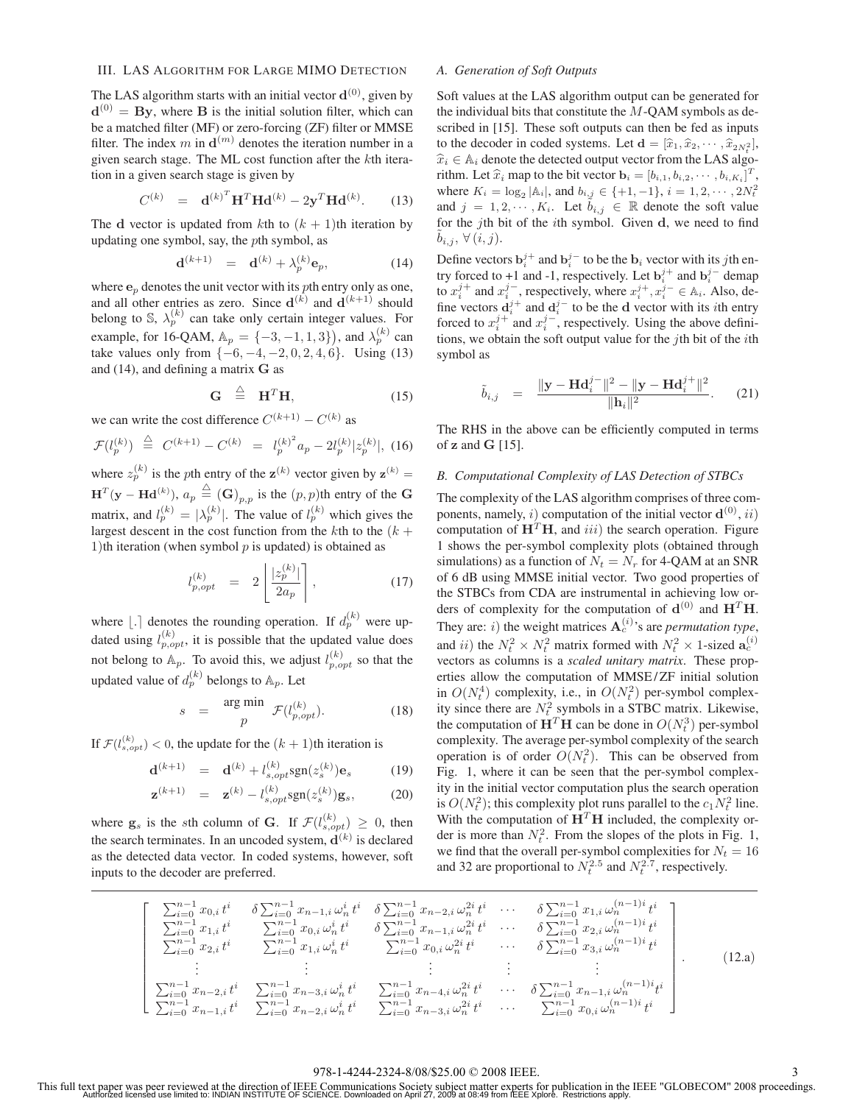## III. LAS ALGORITHM FOR LARGE MIMO DETECTION

The LAS algorithm starts with an initial vector  $\mathbf{d}^{(0)}$ , given by **, where <b>B** is the initial solution filter, which can be a matched filter (MF) or zero-forcing (ZF) filter or MMSE filter. The index m in  $\mathbf{d}^{(m)}$  denotes the iteration number in a given search stage. The ML cost function after the *k*th iteration in a given search stage is given by

$$
C^{(k)} = \mathbf{d}^{(k)^{T}} \mathbf{H}^{T} \mathbf{H} \mathbf{d}^{(k)} - 2 \mathbf{y}^{T} \mathbf{H} \mathbf{d}^{(k)}.
$$
 (13)

The **d** vector is updated from *k*th to  $(k + 1)$ th iteration by updating one symbol, say, the *p*th symbol, as

$$
\mathbf{d}^{(k+1)} = \mathbf{d}^{(k)} + \lambda_p^{(k)} \mathbf{e}_p, \tag{14}
$$

where  $\mathbf{e}_p$  denotes the unit vector with its *p*th entry only as one, and all other entries as zero. Since  $\mathbf{d}^{(k)}$  and  $\mathbf{d}^{(k+1)}$  should belong to S,  $\lambda_p^{(k)}$  can take only certain integer values. For example, for 16-QAM,  $A_p = \{-3, -1, 1, 3\}$ , and  $\lambda_p^{(k)}$  can take values only from  $\{-6, -4, -2, 0, 2, 4, 6\}$ . Using (13) and (14), and defining a matrix **G** as

$$
\mathbf{G} \stackrel{\triangle}{=} \mathbf{H}^T \mathbf{H}, \tag{15}
$$

we can write the cost difference  $C^{(k+1)} - C^{(k)}$  as

$$
\mathcal{F}(l_p^{(k)}) \stackrel{\triangle}{=} C^{(k+1)} - C^{(k)} = l_p^{(k)^2} a_p - 2l_p^{(k)} |z_p^{(k)}|, \tag{16}
$$

where  $z_p^{(k)}$  is the *p*th entry of the  $z^{(k)}$  vector given by  $z^{(k)} =$  $\mathbf{H}^T(\mathbf{y} - \mathbf{H}\mathbf{d}^{(k)}), a_p \stackrel{\triangle}{=} (\mathbf{G})_{p,p}$  is the  $(p, p)$ th entry of the **G** matrix, and  $l_p^{(k)} = |\lambda_p^{(k)}|$ . The value of  $l_p^{(k)}$  which gives the largest descent in the cost function from the  $k$ th to the  $(k +$ 1)th iteration (when symbol *p* is updated) is obtained as

$$
l_{p,opt}^{(k)} = 2 \left[ \frac{|z_p^{(k)}|}{2a_p} \right],
$$
 (17)

where  $| \cdot |$  denotes the rounding operation. If  $d_p^{(k)}$  were updated using  $l_{p, opt}^{(k)}$ , it is possible that the updated value does not belong to  $\mathbb{A}_p$ . To avoid this, we adjust  $l_{p,opt}^{(k)}$  so that the updated value of  $d_p^{(k)}$  belongs to  $\mathbb{A}_p$ . Let

$$
s = \frac{\arg \min}{p} \mathcal{F}(l_{p,opt}^{(k)}).
$$
 (18)

If  $\mathcal{F}(l_{s,opt}^{(k)}) < 0$ , the update for the  $(k+1)$ th iteration is

$$
\mathbf{d}^{(k+1)} = \mathbf{d}^{(k)} + l_{s,opt}^{(k)} \text{sgn}(z_s^{(k)}) \mathbf{e}_s \tag{19}
$$

$$
\mathbf{z}^{(k+1)} = \mathbf{z}^{(k)} - l_{s,opt}^{(k)} \text{sgn}(z_s^{(k)}) \mathbf{g}_s, \quad (20)
$$

where  $\mathbf{g}_s$  is the *s*th column of **G**. If  $\mathcal{F}(l_{s,opt}^{(k)}) \geq 0$ , then the search terminates. In an uncoded system,  $\mathbf{d}^{(k)}$  is declared as the detected data vector. In coded systems, however, soft inputs to the decoder are preferred.

## *A. Generation of Soft Outputs*

Soft values at the LAS algorithm output can be generated for the individual bits that constitute the *M*-QAM symbols as described in [15]. These soft outputs can then be fed as inputs to the decoder in coded systems. Let  $\mathbf{d} = [\hat{x}_1, \hat{x}_2, \cdots, \hat{x}_{2N_t^2}],$  $\hat{x}_i \in A_i$  denote the detected output vector from the LAS algorithm. Let  $\hat{x}_i$  map to the bit vector  $\mathbf{b}_i = [b_{i,1}, b_{i,2}, \dots, b_{i,K_i}]^T$ , where  $K = \lfloor \frac{1}{2} \rfloor + \lfloor \frac{1}{2} \rfloor + \lfloor \frac{1}{2} \rfloor + \lfloor \frac{1}{2} \rfloor + \lfloor \frac{1}{2} \rfloor + \lfloor \frac{1}{2} \rfloor + \lfloor \frac{1}{2} \rfloor + \lfloor \frac{1}{2} \rfloor + \lfloor \frac{1}{2} \rfloor + \lfloor \frac{1}{2$ where  $K_i = \log_2 |A_i|$ , and  $b_{i,j} \in \{+1, -1\}$ ,  $i = 1, 2, \dots, 2N_i^2$ <br>and  $i = 1, 2, \dots, 2N_i^2$ . Let  $\overline{b} = \mathbb{R}$  denote the set velve and  $j = 1, 2, \dots, K_i$ . Let  $b_{i,j} \in \mathbb{R}$  denote the soft value for the *j*th bit of the *i*th symbol. Given **d**, we need to find  $\tilde{b}_{i,j}$ ,  $\forall (i,j)$ .

Define vectors  $\mathbf{b}_i^{j+}$  and  $\mathbf{b}_i^{j-}$  to be the  $\mathbf{b}_i$  vector with its *j*th entry forced to +1 and -1, respectively. Let  $\mathbf{b}_i^{j+}$  and  $\mathbf{b}_i^{j-}$  demap to  $x_i^{j+}$  and  $x_i^{j-}$ , respectively, where  $x_i^{j+}, x_i^{j-} \in A_i$ . Also, define vectors  $\mathbf{d}_i^{j+}$  and  $\mathbf{d}_i^{j-}$  to be the **d** vector with its *i*th entry forced to  $x_i^{j+}$  and  $x_i^{j-}$ , respectively. Using the above definitions, we obtain the soft output value for the *j*th bit of the *i*th symbol as

$$
\tilde{b}_{i,j} = \frac{\|\mathbf{y} - \mathbf{H} \mathbf{d}_i^{j-}\|^2 - \|\mathbf{y} - \mathbf{H} \mathbf{d}_i^{j+}\|^2}{\|\mathbf{h}_i\|^2}.
$$
 (21)

The RHS in the above can be efficiently computed in terms of **z** and **G** [15].

## *B. Computational Complexity of LAS Detection of STBCs*

The complexity of the LAS algorithm comprises of three components, namely, *i*) computation of the initial vector  $\mathbf{d}^{(0)}$ , *ii*) computation of  $H<sup>T</sup>H$ , and *iii*) the search operation. Figure 1 shows the per-symbol complexity plots (obtained through simulations) as a function of  $N_t = N_r$  for 4-QAM at an SNR of 6 dB using MMSE initial vector. Two good properties of the STBCs from CDA are instrumental in achieving low orders of complexity for the computation of  $\mathbf{d}^{(0)}$  and  $\mathbf{H}^T\mathbf{H}$ . They are: *i*) the weight matrices  $A_c^{(i)}$ 's are *permutation type*, and *ii*) the  $N_t^2 \times N_t^2$  matrix formed with  $N_t^2 \times 1$ -sized  $\mathbf{a}_c^{(i)}$ vectors as columns is a *scaled unitary matrix*. These properties allow the computation of MMSE / ZF initial solution in  $O(N_t^4)$  complexity, i.e., in  $O(N_t^2)$  per-symbol complexity since there are  $N_t^2$  symbols in a STBC matrix. Likewise, the computation of  $\mathbf{H}^T \mathbf{H}$  can be done in  $O(N_t^3)$  per-symbol complexity. The average per-symbol complexity of the search operation is of order  $O(N_t^2)$ . This can be observed from Fig. 1, where it can be seen that the per-symbol complexity in the initial vector computation plus the search operation is  $O(N_t^2)$ ; this complexity plot runs parallel to the  $c_1 N_t^2$  line. With the computation of  $H<sup>T</sup>H$  included, the complexity order is more than  $N_t^2$ . From the slopes of the plots in Fig. 1, we find that the overall per-symbol complexities for  $N_t = 16$ and 32 are proportional to  $N_t^{2.5}$  and  $N_t^{2.7}$ , respectively.

$$
\begin{bmatrix}\n\sum_{i=0}^{n-1} x_{0,i} t^{i} & \delta \sum_{i=0}^{n-1} x_{n-1,i} \omega_{n}^{i} t^{i} & \delta \sum_{i=0}^{n-1} x_{n-2,i} \omega_{n}^{2i} t^{i} & \cdots & \delta \sum_{i=0}^{n-1} x_{1,i} \omega_{n}^{(n-1)i} t^{i} \\
\sum_{i=0}^{n-1} x_{1,i} t^{i} & \sum_{i=0}^{n-1} x_{0,i} \omega_{n}^{i} t^{i} & \delta \sum_{i=0}^{n-1} x_{n-1,i} \omega_{n}^{2i} t^{i} & \cdots & \delta \sum_{i=0}^{n-1} x_{2,i} \omega_{n}^{(n-1)i} t^{i} \\
\sum_{i=0}^{n-1} x_{2,i} t^{i} & \sum_{i=0}^{n-1} x_{1,i} \omega_{n}^{i} t^{i} & \sum_{i=0}^{n-1} x_{0,i} \omega_{n}^{2i} t^{i} & \cdots & \delta \sum_{i=0}^{n-1} x_{3,i} \omega_{n}^{(n-1)i} t^{i} \\
\vdots & \vdots & \vdots & \vdots \\
\sum_{i=0}^{n-1} x_{n-2,i} t^{i} & \sum_{i=0}^{n-1} x_{n-3,i} \omega_{n}^{i} t^{i} & \sum_{i=0}^{n-1} x_{n-4,i} \omega_{n}^{2i} t^{i} & \cdots & \delta \sum_{i=0}^{n-1} x_{n-1,i} \omega_{n}^{(n-1)i} t^{i} \\
\sum_{i=0}^{n-1} x_{n-1,i} t^{i} & \sum_{i=0}^{n-1} x_{n-2,i} \omega_{n}^{i} t^{i} & \sum_{i=0}^{n-1} x_{n-3,i} \omega_{n}^{2i} t^{i} & \cdots & \sum_{i=0}^{n-1} x_{0,i} \omega_{n}^{(n-1)i} t^{i}\n\end{bmatrix}.
$$
\n(12.3)

## 978-1-4244-2324-8/08/\$25.00 © 2008 IEEE. 3

This full text paper was peer reviewed at the direction of IEEE Communications Society subject matter experts for publication in the IEEE "GLOBECOM" 2008 proceedings.<br>Authorized licensed use limited to: INDIAN INSTITUTE OF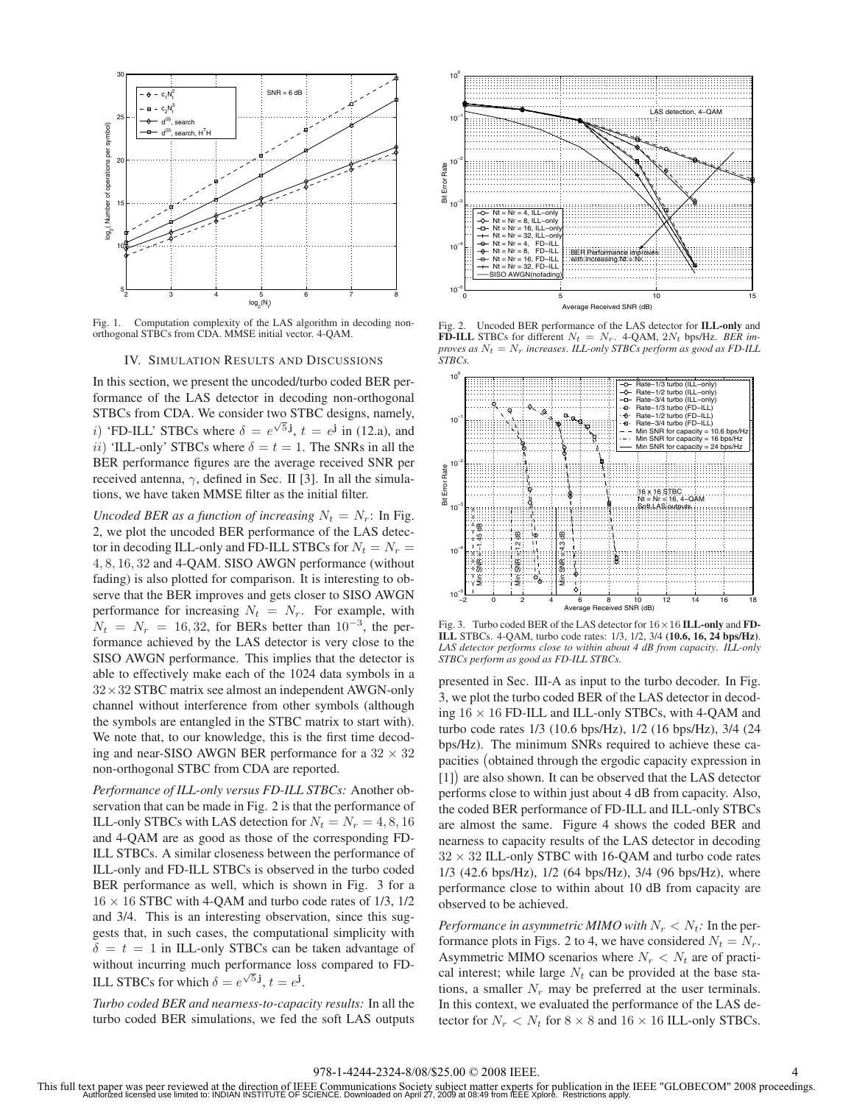

Fig. 1. Computation complexity of the LAS algorithm in decoding nonorthogonal STBCs from CDA. MMSE initial vector. 4-QAM.

#### IV. SIMULATION RESULTS AND DISCUSSIONS

In this section, we present the uncoded/turbo coded BER performance of the LAS detector in decoding non-orthogonal STBCs from CDA. We consider two STBC designs, namely, *i*) 'FD-ILL' STBCs where  $\delta = e^{\sqrt{5} \mathbf{j}}$ ,  $t = e^{\mathbf{j}}$  in (12.a), and *ii*) 'ILL-only' STBCs where  $\delta = t = 1$ . The SNRs in all the BER performance figures are the average received SNR per received antenna, *γ*, defined in Sec. II [3]. In all the simulations, we have taken MMSE filter as the initial filter.

*Uncoded BER as a function of increasing*  $N_t = N_r$ : In Fig. 2, we plot the uncoded BER performance of the LAS detector in decoding ILL-only and FD-ILL STBCs for  $N_t = N_r$ 4*,* 8*,* 16*,* 32 and 4-QAM. SISO AWGN performance (without fading) is also plotted for comparison. It is interesting to observe that the BER improves and gets closer to SISO AWGN performance for increasing  $N_t = N_r$ . For example, with  $N_t = N_r = 16,32$ , for BERs better than  $10^{-3}$ , the performance achieved by the LAS detector is very close to the SISO AWGN performance. This implies that the detector is able to effectively make each of the 1024 data symbols in a  $32 \times 32$  STBC matrix see almost an independent AWGN-only channel without interference from other symbols (although the symbols are entangled in the STBC matrix to start with). We note that, to our knowledge, this is the first time decoding and near-SISO AWGN BER performance for a  $32 \times 32$ non-orthogonal STBC from CDA are reported.

*Performance of ILL-only versus FD-ILL STBCs:* Another observation that can be made in Fig. 2 is that the performance of ILL-only STBCs with LAS detection for  $N_t = N_r = 4, 8, 16$ and 4-QAM are as good as those of the corresponding FD-ILL STBCs. A similar closeness between the performance of ILL-only and FD-ILL STBCs is observed in the turbo coded BER performance as well, which is shown in Fig. 3 for a  $16 \times 16$  STBC with 4-QAM and turbo code rates of 1/3, 1/2 and 3/4. This is an interesting observation, since this suggests that, in such cases, the computational simplicity with  $\delta = t = 1$  in ILL-only STBCs can be taken advantage of without incurring much performance loss compared to FD-ILL STBCs for which  $\delta = e^{\sqrt{5} \mathbf{j}}$ ,  $t = e^{\mathbf{j}}$ .

*Turbo coded BER and nearness-to-capacity results:* In all the turbo coded BER simulations, we fed the soft LAS outputs



Fig. 2. Uncoded BER performance of the LAS detector for **ILL-only** and **FD-ILL** STBCs for different  $N_t = N_r$ . 4-QAM,  $2N_t$  bps/Hz. *BER improves as*  $N_t = N_r$  *increases. ILL-only STBCs perform as good as FD-ILL STBCs.*



Fig. 3. Turbo coded BER of the LAS detector for 16×16 **ILL-only** and **FD-ILL** STBCs. 4-QAM, turbo code rates: 1/3, 1/2, 3/4 **(10.6, 16, 24 bps/Hz)**. *LAS detector performs close to within about 4 dB from capacity*. *ILL-only STBCs perform as good as FD-ILL STBCs.*

presented in Sec. III-A as input to the turbo decoder. In Fig. 3, we plot the turbo coded BER of the LAS detector in decoding  $16 \times 16$  FD-ILL and ILL-only STBCs, with 4-QAM and turbo code rates 1/3 (10.6 bps/Hz), 1/2 (16 bps/Hz), 3/4 (24 bps/Hz). The minimum SNRs required to achieve these capacities obtained through the ergodic capacity expression in [1]) are also shown. It can be observed that the LAS detector performs close to within just about 4 dB from capacity. Also, the coded BER performance of FD-ILL and ILL-only STBCs are almost the same. Figure 4 shows the coded BER and nearness to capacity results of the LAS detector in decoding  $32 \times 32$  ILL-only STBC with 16-QAM and turbo code rates 1/3 (42.6 bps/Hz), 1/2 (64 bps/Hz), 3/4 (96 bps/Hz), where performance close to within about 10 dB from capacity are observed to be achieved.

*Performance in asymmetric MIMO with*  $N_r < N_t$ : In the performance plots in Figs. 2 to 4, we have considered  $N_t = N_r$ . Asymmetric MIMO scenarios where  $N_r < N_t$  are of practical interest; while large  $N_t$  can be provided at the base stations, a smaller  $N_r$  may be preferred at the user terminals. In this context, we evaluated the performance of the LAS detector for  $N_r < N_t$  for  $8 \times 8$  and  $16 \times 16$  ILL-only STBCs.